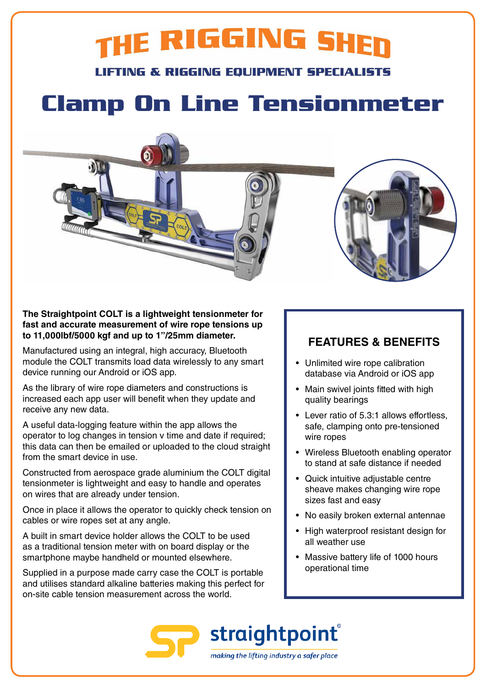## THE RIGGING SHER

**LIFTING & RIGGING EQUIPMENT SPECIALISTS** 

### **Clamp On Line Tensionmeter**



Manufactured using an integral, high accuracy, Bluetooth module the COLT transmits load data wirelessly to any smart device running our Android or iOS app.

As the library of wire rope diameters and constructions is increased each app user will benefit when they update and receive any new data.

A useful data-logging feature within the app allows the operator to log changes in tension v time and date if required; this data can then be emailed or uploaded to the cloud straight from the smart device in use.

Constructed from aerospace grade aluminium the COLT digital tensionmeter is lightweight and easy to handle and operates on wires that are already under tension.

Once in place it allows the operator to quickly check tension on cables or wire ropes set at any angle.

A built in smart device holder allows the COLT to be used as a traditional tension meter with on board display or the smartphone maybe handheld or mounted elsewhere.

Supplied in a purpose made carry case the COLT is portable and utilises standard alkaline batteries making this perfect for on-site cable tension measurement across the world.

### **FEATURES & BENEFITS**

- Unlimited wire rope calibration database via Android or iOS app
- Main swivel joints fitted with high quality bearings
- Lever ratio of 5.3:1 allows effortless, safe, clamping onto pre-tensioned wire ropes
- Wireless Bluetooth enabling operator to stand at safe distance if needed
- Quick intuitive adjustable centre sheave makes changing wire rope sizes fast and easy
- No easily broken external antennae
- High waterproof resistant design for all weather use
- Massive battery life of 1000 hours operational time